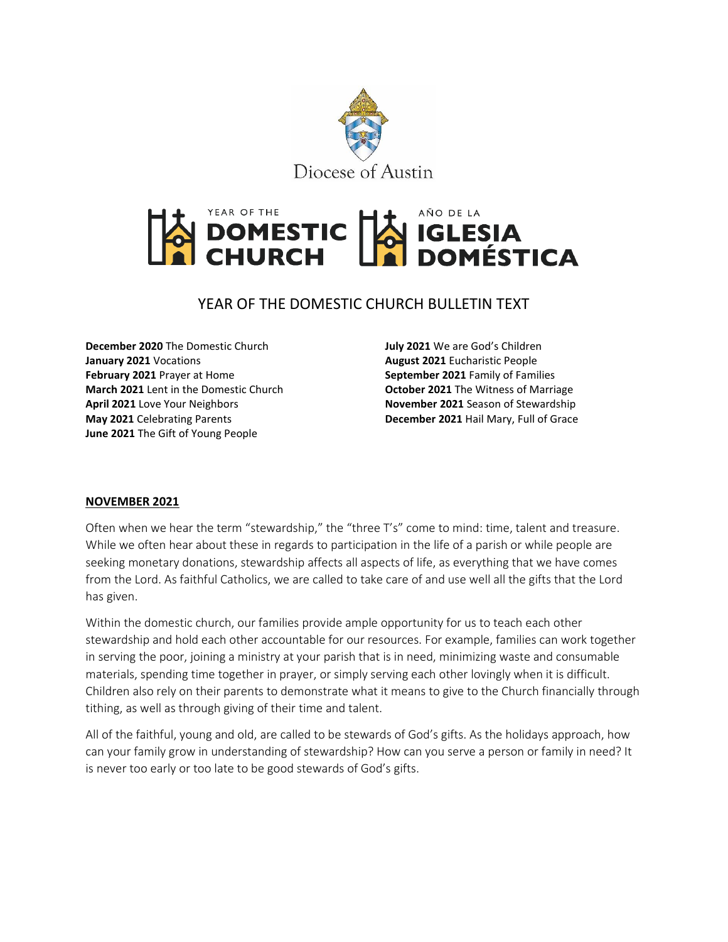



# YEAR OF THE DOMESTIC CHURCH BULLETIN TEXT

**December 2020** The Domestic Church **January 2021** Vocations **February 2021** Prayer at Home **March 2021** Lent in the Domestic Church **April 2021** Love Your Neighbors **May 2021** Celebrating Parents **June 2021** The Gift of Young People

**July 2021** We are God's Children **August 2021** Eucharistic People **September 2021** Family of Families **October 2021** The Witness of Marriage **November 2021** Season of Stewardship **December 2021** Hail Mary, Full of Grace

#### **NOVEMBER 2021**

Often when we hear the term "stewardship," the "three T's" come to mind: time, talent and treasure. While we often hear about these in regards to participation in the life of a parish or while people are seeking monetary donations, stewardship affects all aspects of life, as everything that we have comes from the Lord. As faithful Catholics, we are called to take care of and use well all the gifts that the Lord has given.

Within the domestic church, our families provide ample opportunity for us to teach each other stewardship and hold each other accountable for our resources. For example, families can work together in serving the poor, joining a ministry at your parish that is in need, minimizing waste and consumable materials, spending time together in prayer, or simply serving each other lovingly when it is difficult. Children also rely on their parents to demonstrate what it means to give to the Church financially through tithing, as well as through giving of their time and talent.

All of the faithful, young and old, are called to be stewards of God's gifts. As the holidays approach, how can your family grow in understanding of stewardship? How can you serve a person or family in need? It is never too early or too late to be good stewards of God's gifts.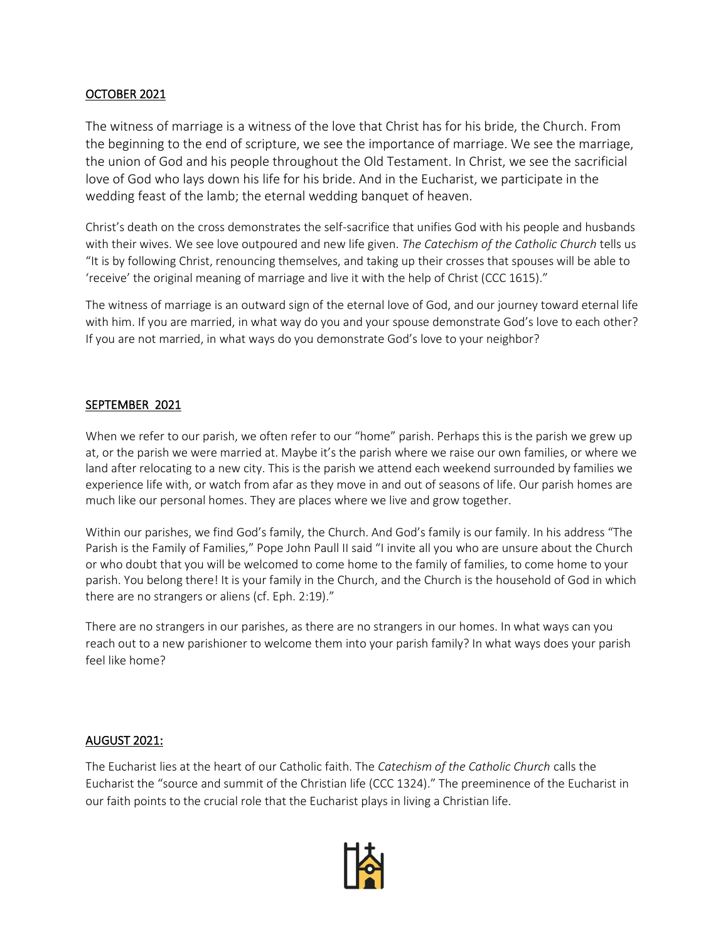#### OCTOBER 2021

The witness of marriage is a witness of the love that Christ has for his bride, the Church. From the beginning to the end of scripture, we see the importance of marriage. We see the marriage, the union of God and his people throughout the Old Testament. In Christ, we see the sacrificial love of God who lays down his life for his bride. And in the Eucharist, we participate in the wedding feast of the lamb; the eternal wedding banquet of heaven.

Christ's death on the cross demonstrates the self-sacrifice that unifies God with his people and husbands with their wives. We see love outpoured and new life given. *The Catechism of the Catholic Church* tells us "It is by following Christ, renouncing themselves, and taking up their crosses that spouses will be able to 'receive' the original meaning of marriage and live it with the help of Christ (CCC 1615)."

The witness of marriage is an outward sign of the eternal love of God, and our journey toward eternal life with him. If you are married, in what way do you and your spouse demonstrate God's love to each other? If you are not married, in what ways do you demonstrate God's love to your neighbor?

# SEPTEMBER 2021

When we refer to our parish, we often refer to our "home" parish. Perhaps this is the parish we grew up at, or the parish we were married at. Maybe it's the parish where we raise our own families, or where we land after relocating to a new city. This is the parish we attend each weekend surrounded by families we experience life with, or watch from afar as they move in and out of seasons of life. Our parish homes are much like our personal homes. They are places where we live and grow together.

Within our parishes, we find God's family, the Church. And God's family is our family. In his address "The Parish is the Family of Families," Pope John Paull II said "I invite all you who are unsure about the Church or who doubt that you will be welcomed to come home to the family of families, to come home to your parish. You belong there! It is your family in the Church, and the Church is the household of God in which there are no strangers or aliens (cf. Eph. 2:19)."

There are no strangers in our parishes, as there are no strangers in our homes. In what ways can you reach out to a new parishioner to welcome them into your parish family? In what ways does your parish feel like home?

#### AUGUST 2021:

The Eucharist lies at the heart of our Catholic faith. The *Catechism of the Catholic Church* calls the Eucharist the "source and summit of the Christian life (CCC 1324)." The preeminence of the Eucharist in our faith points to the crucial role that the Eucharist plays in living a Christian life.

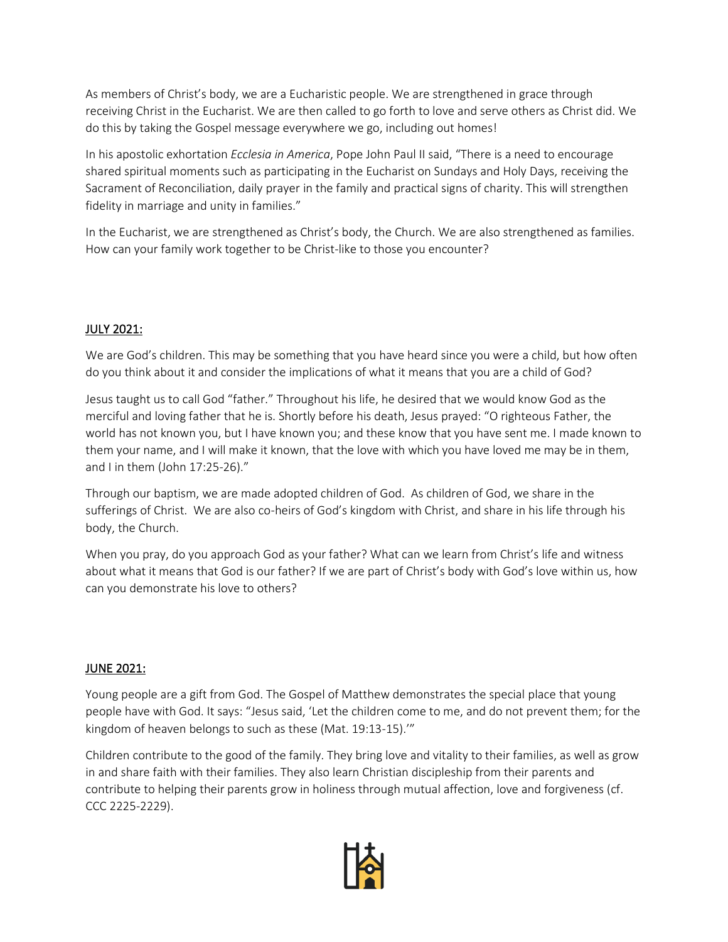As members of Christ's body, we are a Eucharistic people. We are strengthened in grace through receiving Christ in the Eucharist. We are then called to go forth to love and serve others as Christ did. We do this by taking the Gospel message everywhere we go, including out homes!

In his apostolic exhortation *Ecclesia in America*, Pope John Paul II said, "There is a need to encourage shared spiritual moments such as participating in the Eucharist on Sundays and Holy Days, receiving the Sacrament of Reconciliation, daily prayer in the family and practical signs of charity. This will strengthen fidelity in marriage and unity in families."

In the Eucharist, we are strengthened as Christ's body, the Church. We are also strengthened as families. How can your family work together to be Christ-like to those you encounter?

#### JULY 2021:

We are God's children. This may be something that you have heard since you were a child, but how often do you think about it and consider the implications of what it means that you are a child of God?

Jesus taught us to call God "father." Throughout his life, he desired that we would know God as the merciful and loving father that he is. Shortly before his death, Jesus prayed: "O righteous Father, the world has not known you, but I have known you; and these know that you have sent me. I made known to them your name, and I will make it known, that the love with which you have loved me may be in them, and I in them (John 17:25-26)."

Through our baptism, we are made adopted children of God. As children of God, we share in the sufferings of Christ. We are also co-heirs of God's kingdom with Christ, and share in his life through his body, the Church.

When you pray, do you approach God as your father? What can we learn from Christ's life and witness about what it means that God is our father? If we are part of Christ's body with God's love within us, how can you demonstrate his love to others?

#### JUNE 2021:

Young people are a gift from God. The Gospel of Matthew demonstrates the special place that young people have with God. It says: "Jesus said, 'Let the children come to me, and do not prevent them; for the kingdom of heaven belongs to such as these (Mat. 19:13-15).'"

Children contribute to the good of the family. They bring love and vitality to their families, as well as grow in and share faith with their families. They also learn Christian discipleship from their parents and contribute to helping their parents grow in holiness through mutual affection, love and forgiveness (cf. CCC 2225-2229).

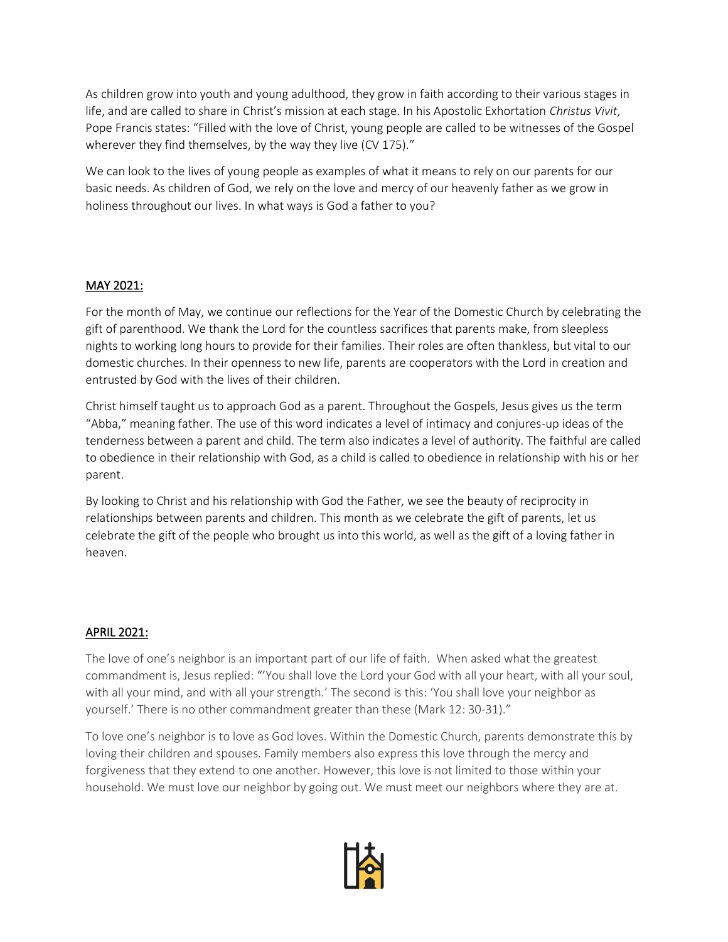As children grow into youth and young adulthood, they grow in faith according to their various stages in life, and are called to share in Christ's mission at each stage. In his Apostolic Exhortation *Christus Vivit*, Pope Francis states: "Filled with the love of Christ, young people are called to be witnesses of the Gospel wherever they find themselves, by the way they live (CV 175)."

We can look to the lives of young people as examples of what it means to rely on our parents for our basic needs. As children of God, we rely on the love and mercy of our heavenly father as we grow in holiness throughout our lives. In what ways is God a father to you?

# MAY 2021:

For the month of May, we continue our reflections for the Year of the Domestic Church by celebrating the gift of parenthood. We thank the Lord for the countless sacrifices that parents make, from sleepless nights to working long hours to provide for their families. Their roles are often thankless, but vital to our domestic churches. In their openness to new life, parents are cooperators with the Lord in creation and entrusted by God with the lives of their children.

Christ himself taught us to approach God as a parent. Throughout the Gospels, Jesus gives us the term "Abba," meaning father. The use of this word indicates a level of intimacy and conjures-up ideas of the tenderness between a parent and child. The term also indicates a level of authority. The faithful are called to obedience in their relationship with God, as a child is called to obedience in relationship with his or her parent.

By looking to Christ and his relationship with God the Father, we see the beauty of reciprocity in relationships between parents and children. This month as we celebrate the gift of parents, let us celebrate the gift of the people who brought us into this world, as well as the gift of a loving father in heaven.

# APRIL 2021:

The love of one's neighbor is an important part of our life of faith. When asked what the greatest commandment is, Jesus replied: "'You shall love the Lord your God with all your heart, with all your soul, with all your mind, and with all your strength.' The second is this: 'You shall love your neighbor as yourself.' There is no other commandment greater than these (Mark 12: 30-31)."

To love one's neighbor is to love as God loves. Within the Domestic Church, parents demonstrate this by loving their children and spouses. Family members also express this love through the mercy and forgiveness that they extend to one another. However, this love is not limited to those within your household. We must love our neighbor by going out. We must meet our neighbors where they are at.

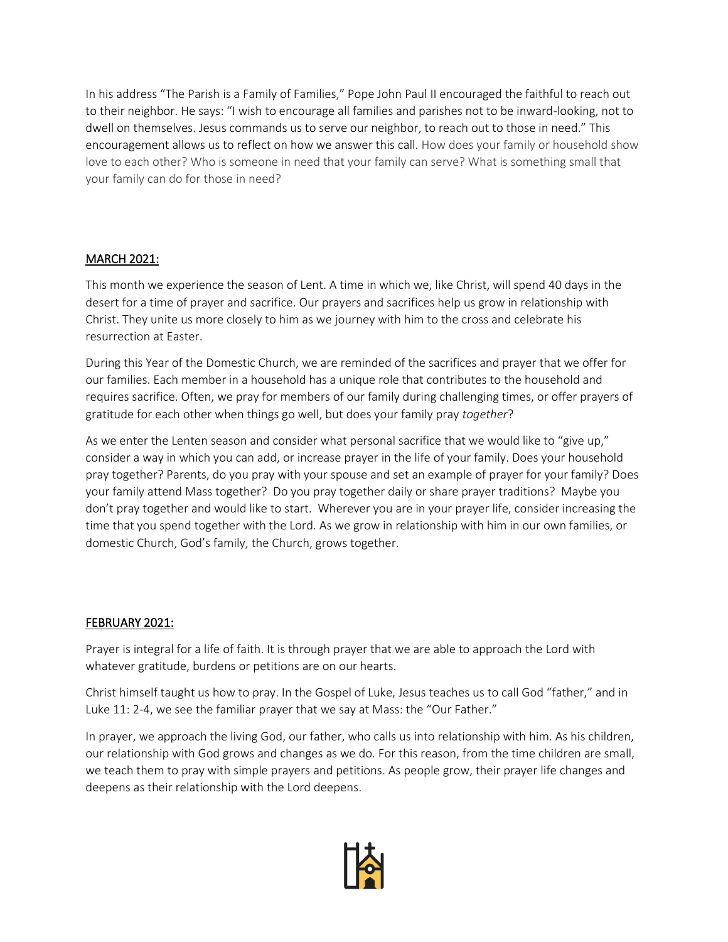In his address "The Parish is a Family of Families," Pope John Paul II encouraged the faithful to reach out to their neighbor. He says: "I wish to encourage all families and parishes not to be inward-looking, not to dwell on themselves. Jesus commands us to serve our neighbor, to reach out to those in need." This encouragement allows us to reflect on how we answer this call. How does your family or household show love to each other? Who is someone in need that your family can serve? What is something small that your family can do for those in need?

# MARCH 2021:

This month we experience the season of Lent. A time in which we, like Christ, will spend 40 days in the desert for a time of prayer and sacrifice. Our prayers and sacrifices help us grow in relationship with Christ. They unite us more closely to him as we journey with him to the cross and celebrate his resurrection at Easter.

During this Year of the Domestic Church, we are reminded of the sacrifices and prayer that we offer for our families. Each member in a household has a unique role that contributes to the household and requires sacrifice. Often, we pray for members of our family during challenging times, or offer prayers of gratitude for each other when things go well, but does your family pray *together*?

As we enter the Lenten season and consider what personal sacrifice that we would like to "give up," consider a way in which you can add, or increase prayer in the life of your family. Does your household pray together? Parents, do you pray with your spouse and set an example of prayer for your family? Does your family attend Mass together? Do you pray together daily or share prayer traditions? Maybe you don't pray together and would like to start. Wherever you are in your prayer life, consider increasing the time that you spend together with the Lord. As we grow in relationship with him in our own families, or domestic Church, God's family, the Church, grows together.

# FEBRUARY 2021:

Prayer is integral for a life of faith. It is through prayer that we are able to approach the Lord with whatever gratitude, burdens or petitions are on our hearts.

Christ himself taught us how to pray. In the Gospel of Luke, Jesus teaches us to call God "father," and in Luke 11: 2-4, we see the familiar prayer that we say at Mass: the "Our Father."

In prayer, we approach the living God, our father, who calls us into relationship with him. As his children, our relationship with God grows and changes as we do. For this reason, from the time children are small, we teach them to pray with simple prayers and petitions. As people grow, their prayer life changes and deepens as their relationship with the Lord deepens.

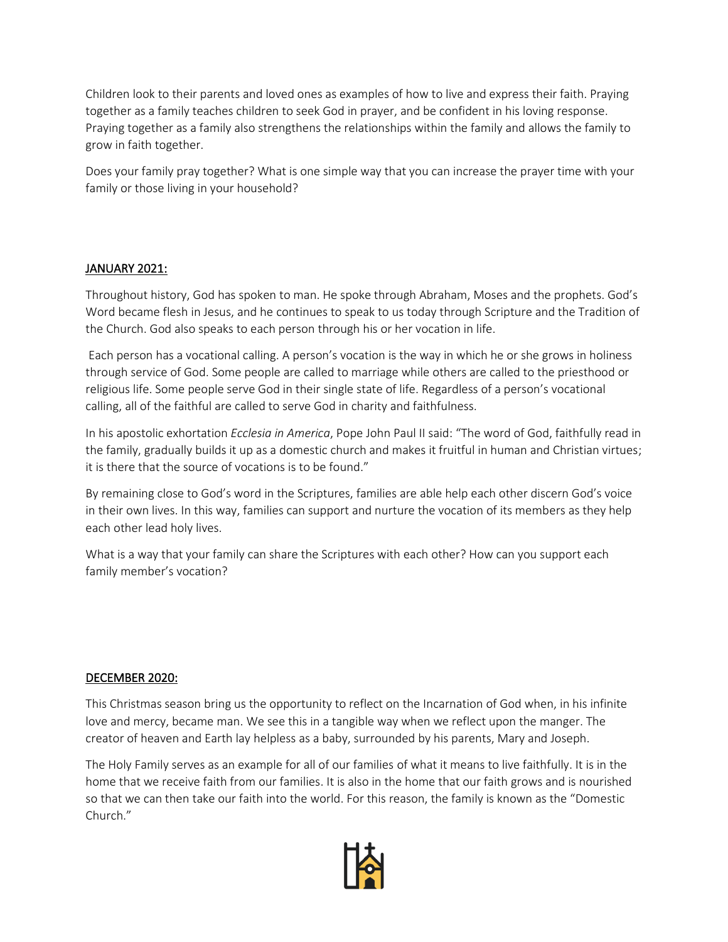Children look to their parents and loved ones as examples of how to live and express their faith. Praying together as a family teaches children to seek God in prayer, and be confident in his loving response. Praying together as a family also strengthens the relationships within the family and allows the family to grow in faith together.

Does your family pray together? What is one simple way that you can increase the prayer time with your family or those living in your household?

# JANUARY 2021:

Throughout history, God has spoken to man. He spoke through Abraham, Moses and the prophets. God's Word became flesh in Jesus, and he continues to speak to us today through Scripture and the Tradition of the Church. God also speaks to each person through his or her vocation in life.

Each person has a vocational calling. A person's vocation is the way in which he or she grows in holiness through service of God. Some people are called to marriage while others are called to the priesthood or religious life. Some people serve God in their single state of life. Regardless of a person's vocational calling, all of the faithful are called to serve God in charity and faithfulness.

In his apostolic exhortation *Ecclesia in America*, Pope John Paul II said: "The word of God, faithfully read in the family, gradually builds it up as a domestic church and makes it fruitful in human and Christian virtues; it is there that the source of vocations is to be found."

By remaining close to God's word in the Scriptures, families are able help each other discern God's voice in their own lives. In this way, families can support and nurture the vocation of its members as they help each other lead holy lives.

What is a way that your family can share the Scriptures with each other? How can you support each family member's vocation?

#### DECEMBER 2020:

This Christmas season bring us the opportunity to reflect on the Incarnation of God when, in his infinite love and mercy, became man. We see this in a tangible way when we reflect upon the manger. The creator of heaven and Earth lay helpless as a baby, surrounded by his parents, Mary and Joseph.

The Holy Family serves as an example for all of our families of what it means to live faithfully. It is in the home that we receive faith from our families. It is also in the home that our faith grows and is nourished so that we can then take our faith into the world. For this reason, the family is known as the "Domestic Church."